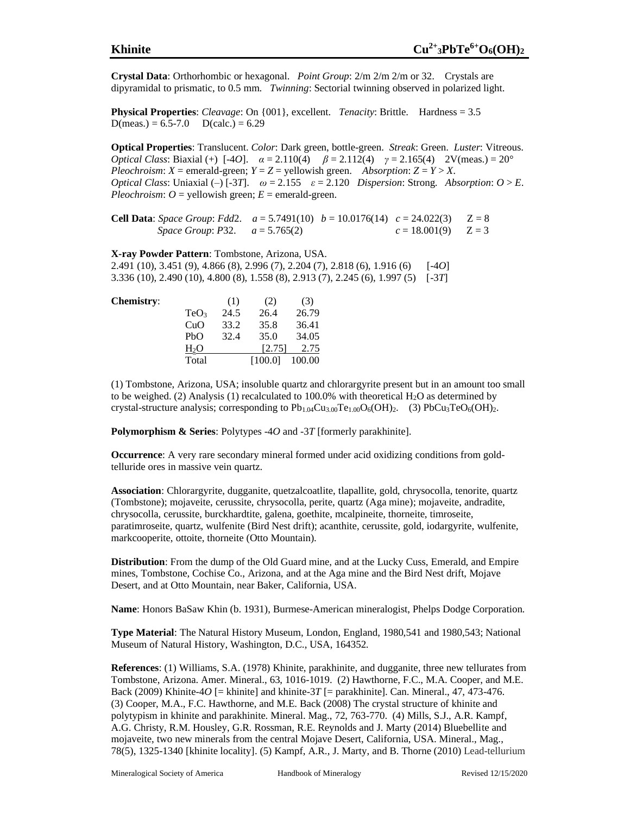**Crystal Data**: Orthorhombic or hexagonal. *Point Group*: 2/m 2/m 2/m or 32. Crystals are dipyramidal to prismatic, to 0.5 mm. *Twinning*: Sectorial twinning observed in polarized light.

**Physical Properties**: *Cleavage*: On {001}, excellent. *Tenacity*: Brittle. Hardness = 3.5  $D(meas.) = 6.5 - 7.0$   $D(calc.) = 6.29$ 

**Optical Properties**: Translucent. *Color*: Dark green, bottle-green. *Streak*: Green. *Luster*: Vitreous. *Optical Class*: Biaxial (+) [-4*O*].  $\alpha = 2.110(4)$   $\beta = 2.112(4)$   $\gamma = 2.165(4)$  2V(meas.) = 20° *Pleochroism*:  $X =$  emerald-green;  $Y = Z =$  yellowish green. *Absorption*:  $Z = Y > X$ . *Optical Class*: Uniaxial (–)  $[-3T]$ .  $\omega = 2.155$   $\varepsilon = 2.120$  *Dispersion*: Strong. *Absorption:*  $O > E$ *. Pleochroism:*  $O =$  yellowish green;  $E =$  emerald-green.

**Cell Data**: *Space Group*: *Fdd*2.  $a = 5.7491(10)$   $b = 10.0176(14)$   $c = 24.022(3)$   $Z = 8$ *Space Group*: *P*32.  $a = 5.765(2)$   $c = 18.001(9)$   $Z = 3$ 

**X-ray Powder Pattern**: Tombstone, Arizona, USA. 2.491 (10), 3.451 (9), 4.866 (8), 2.996 (7), 2.204 (7), 2.818 (6), 1.916 (6) [-4*O*] 3.336 (10), 2.490 (10), 4.800 (8), 1.558 (8), 2.913 (7), 2.245 (6), 1.997 (5) [-3*T*]

| <b>Chemistry:</b> |                  | (1)  | (2)     | (3)    |
|-------------------|------------------|------|---------|--------|
|                   | TeO <sub>3</sub> | 24.5 | 26.4    | 26.79  |
|                   | CuO              | 33.2 | 35.8    | 36.41  |
|                   | PbO              | 32.4 | 35.0    | 34.05  |
|                   | $H_2O$           |      | [2.75]  | 2.75   |
|                   | Total            |      | [100.0] | 100.00 |

(1) Tombstone, Arizona, USA; insoluble quartz and chlorargyrite present but in an amount too small to be weighed. (2) Analysis (1) recalculated to 100.0% with theoretical  $H_2O$  as determined by crystal-structure analysis; corresponding to  $Pb_{1.04}Cu_{3.00}Te_{1.00}O_6(OH)_2$ . (3) PbCu<sub>3</sub>TeO<sub>6</sub>(OH)<sub>2</sub>.

**Polymorphism & Series**: Polytypes -4*O* and -3*T* [formerly parakhinite].

**Occurrence**: A very rare secondary mineral formed under acid oxidizing conditions from goldtelluride ores in massive vein quartz.

**Association**: Chlorargyrite, dugganite, quetzalcoatlite, tlapallite, gold, chrysocolla, tenorite, quartz (Tombstone); mojaveite, cerussite, chrysocolla, perite, quartz (Aga mine); mojaveite, andradite, chrysocolla, cerussite, burckhardtite, galena, goethite, mcalpineite, thorneite, timroseite, paratimroseite, quartz, wulfenite (Bird Nest drift); acanthite, cerussite, gold, iodargyrite, wulfenite, markcooperite, ottoite, thorneite (Otto Mountain).

**Distribution**: From the dump of the Old Guard mine, and at the Lucky Cuss, Emerald, and Empire mines, Tombstone, Cochise Co., Arizona, and at the Aga mine and the Bird Nest drift, Mojave Desert, and at Otto Mountain, near Baker, California, USA.

**Name**: Honors BaSaw Khin (b. 1931), Burmese-American mineralogist, Phelps Dodge Corporation.

**Type Material**: The Natural History Museum, London, England, 1980,541 and 1980,543; National Museum of Natural History, Washington, D.C., USA, 164352.

**References**: (1) Williams, S.A. (1978) Khinite, parakhinite, and dugganite, three new tellurates from Tombstone, Arizona. Amer. Mineral., 63, 1016-1019. (2) Hawthorne, F.C., M.A. Cooper, and M.E. Back (2009) Khinite-4*O* [= khinite] and khinite-3*T* [= parakhinite]. Can. Mineral., 47, 473-476. (3) Cooper, M.A., F.C. Hawthorne, and M.E. Back (2008) The crystal structure of khinite and polytypism in khinite and parakhinite. Mineral. Mag., 72, 763-770. (4) Mills, S.J., A.R. Kampf, A.G. Christy, R.M. Housley, G.R. Rossman, R.E. Reynolds and J. Marty (2014) Bluebellite and mojaveite, two new minerals from the central Mojave Desert, California, USA. Mineral., Mag., 78(5), 1325-1340 [khinite locality]. (5) Kampf, A.R., J. Marty, and B. Thorne (2010) [Lead-tellurium](https://pubs.geoscienceworld.org/ammin/article/95/8-9/1337/45237/Lead-tellurium-oxysalts-from-Otto-Mountain-near?searchresult=1)